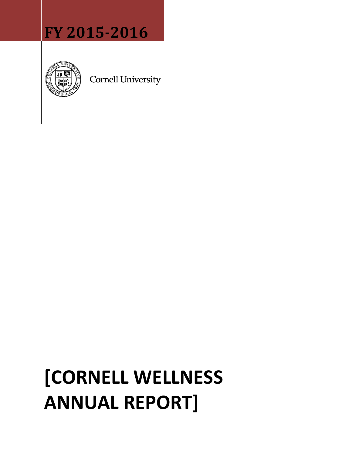## **FY 2015-2016**



**Cornell University** 

# **[CORNELL WELLNESS ANNUAL REPORT]**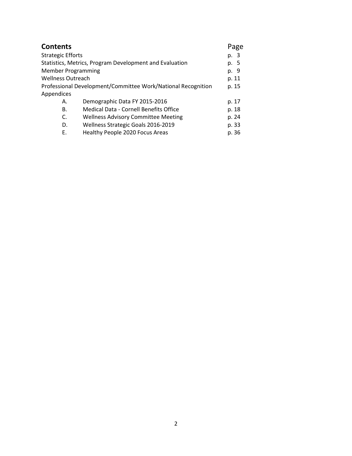| <b>Contents</b>           |                                                              | Page  |
|---------------------------|--------------------------------------------------------------|-------|
| <b>Strategic Efforts</b>  |                                                              | p. 3  |
|                           | Statistics, Metrics, Program Development and Evaluation      | p. 5  |
| <b>Member Programming</b> |                                                              | p. 9  |
| <b>Wellness Outreach</b>  |                                                              | p. 11 |
|                           | Professional Development/Committee Work/National Recognition | p. 15 |
| Appendices                |                                                              |       |
| А.                        | Demographic Data FY 2015-2016                                | p. 17 |
| В.                        | <b>Medical Data - Cornell Benefits Office</b>                | p. 18 |
| C.                        | <b>Wellness Advisory Committee Meeting</b>                   | p. 24 |
| D.                        | Wellness Strategic Goals 2016-2019                           | p. 33 |
| Е.                        | Healthy People 2020 Focus Areas                              | p. 36 |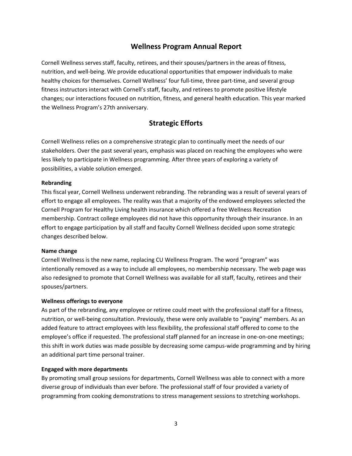## **Wellness Program Annual Report**

Cornell Wellness serves staff, faculty, retirees, and their spouses/partners in the areas of fitness, nutrition, and well-being. We provide educational opportunities that empower individuals to make healthy choices for themselves. Cornell Wellness' four full-time, three part-time, and several group fitness instructors interact with Cornell's staff, faculty, and retirees to promote positive lifestyle changes; our interactions focused on nutrition, fitness, and general health education. This year marked the Wellness Program's 27th anniversary.

## **Strategic Efforts**

Cornell Wellness relies on a comprehensive strategic plan to continually meet the needs of our stakeholders. Over the past several years, emphasis was placed on reaching the employees who were less likely to participate in Wellness programming. After three years of exploring a variety of possibilities, a viable solution emerged.

#### **Rebranding**

This fiscal year, Cornell Wellness underwent rebranding. The rebranding was a result of several years of effort to engage all employees. The reality was that a majority of the endowed employees selected the Cornell Program for Healthy Living health insurance which offered a free Wellness Recreation membership. Contract college employees did not have this opportunity through their insurance. In an effort to engage participation by all staff and faculty Cornell Wellness decided upon some strategic changes described below.

#### **Name change**

Cornell Wellness is the new name, replacing CU Wellness Program. The word "program" was intentionally removed as a way to include all employees, no membership necessary. The web page was also redesigned to promote that Cornell Wellness was available for all staff, faculty, retirees and their spouses/partners.

#### **Wellness offerings to everyone**

As part of the rebranding, any employee or retiree could meet with the professional staff for a fitness, nutrition, or well-being consultation. Previously, these were only available to "paying" members. As an added feature to attract employees with less flexibility, the professional staff offered to come to the employee's office if requested. The professional staff planned for an increase in one-on-one meetings; this shift in work duties was made possible by decreasing some campus-wide programming and by hiring an additional part time personal trainer.

#### **Engaged with more departments**

By promoting small group sessions for departments, Cornell Wellness was able to connect with a more diverse group of individuals than ever before. The professional staff of four provided a variety of programming from cooking demonstrations to stress management sessions to stretching workshops.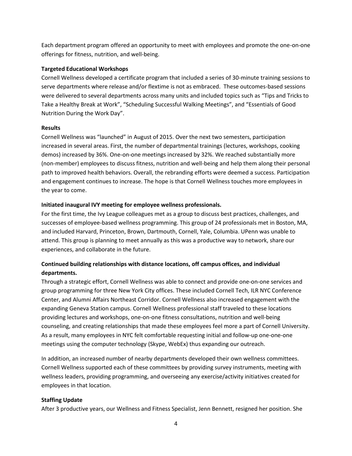Each department program offered an opportunity to meet with employees and promote the one-on-one offerings for fitness, nutrition, and well-being.

#### **Targeted Educational Workshops**

Cornell Wellness developed a certificate program that included a series of 30-minute training sessions to serve departments where release and/or flextime is not as embraced. These outcomes-based sessions were delivered to several departments across many units and included topics such as "Tips and Tricks to Take a Healthy Break at Work", "Scheduling Successful Walking Meetings", and "Essentials of Good Nutrition During the Work Day".

#### **Results**

Cornell Wellness was "launched" in August of 2015. Over the next two semesters, participation increased in several areas. First, the number of departmental trainings (lectures, workshops, cooking demos) increased by 36%. One-on-one meetings increased by 32%. We reached substantially more (non-member) employees to discuss fitness, nutrition and well-being and help them along their personal path to improved health behaviors. Overall, the rebranding efforts were deemed a success. Participation and engagement continues to increase. The hope is that Cornell Wellness touches more employees in the year to come.

#### **Initiated inaugural IVY meeting for employee wellness professionals.**

For the first time, the Ivy League colleagues met as a group to discuss best practices, challenges, and successes of employee-based wellness programming. This group of 24 professionals met in Boston, MA, and included Harvard, Princeton, Brown, Dartmouth, Cornell, Yale, Columbia. UPenn was unable to attend. This group is planning to meet annually as this was a productive way to network, share our experiences, and collaborate in the future.

#### **Continued building relationships with distance locations, off campus offices, and individual departments.**

Through a strategic effort, Cornell Wellness was able to connect and provide one-on-one services and group programming for three New York City offices. These included Cornell Tech, ILR NYC Conference Center, and Alumni Affairs Northeast Corridor. Cornell Wellness also increased engagement with the expanding Geneva Station campus. Cornell Wellness professional staff traveled to these locations providing lectures and workshops, one-on-one fitness consultations, nutrition and well-being counseling, and creating relationships that made these employees feel more a part of Cornell University. As a result, many employees in NYC felt comfortable requesting initial and follow-up one-one-one meetings using the computer technology (Skype, WebEx) thus expanding our outreach.

In addition, an increased number of nearby departments developed their own wellness committees. Cornell Wellness supported each of these committees by providing survey instruments, meeting with wellness leaders, providing programming, and overseeing any exercise/activity initiatives created for employees in that location.

#### **Staffing Update**

After 3 productive years, our Wellness and Fitness Specialist, Jenn Bennett, resigned her position. She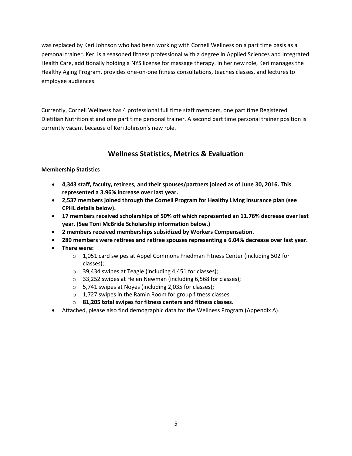was replaced by Keri Johnson who had been working with Cornell Wellness on a part time basis as a personal trainer. Keri is a seasoned fitness professional with a degree in Applied Sciences and Integrated Health Care, additionally holding a NYS license for massage therapy. In her new role, Keri manages the Healthy Aging Program, provides one-on-one fitness consultations, teaches classes, and lectures to employee audiences.

Currently, Cornell Wellness has 4 professional full time staff members, one part time Registered Dietitian Nutritionist and one part time personal trainer. A second part time personal trainer position is currently vacant because of Keri Johnson's new role.

## **Wellness Statistics, Metrics & Evaluation**

#### **Membership Statistics**

- **4,343 staff, faculty, retirees, and their spouses/partners joined as of June 30, 2016. This represented a 3.96% increase over last year.**
- **2,537 members joined through the Cornell Program for Healthy Living insurance plan (see CPHL details below).**
- **17 members received scholarships of 50% off which represented an 11.76% decrease over last year. (See Toni McBride Scholarship information below.)**
- **2 members received memberships subsidized by Workers Compensation.**
- **280 members were retirees and retiree spouses representing a 6.04% decrease over last year.**
- **There were:**
	- o 1,051 card swipes at Appel Commons Friedman Fitness Center (including 502 for classes);
	- o 39,434 swipes at Teagle (including 4,451 for classes);
	- o 33,252 swipes at Helen Newman (including 6,568 for classes);
	- o 5,741 swipes at Noyes (including 2,035 for classes);
	- o 1,727 swipes in the Ramin Room for group fitness classes.
	- o **81,205 total swipes for fitness centers and fitness classes.**
- Attached, please also find demographic data for the Wellness Program (Appendix A).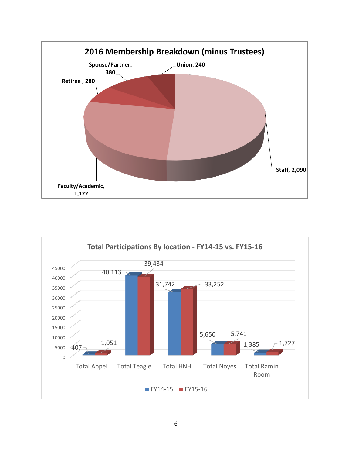

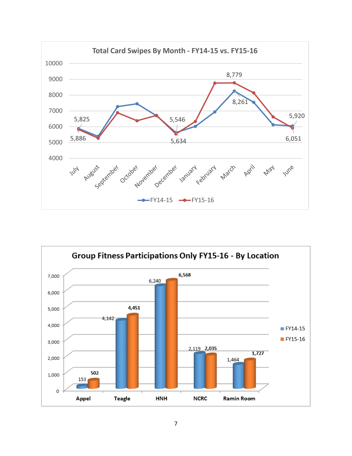

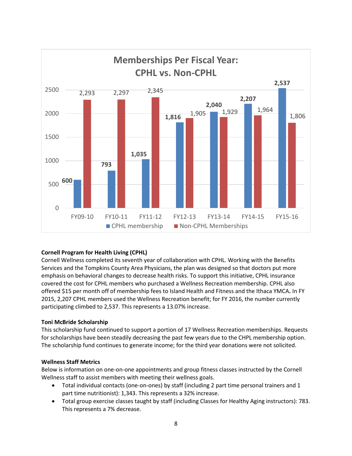

#### **Cornell Program for Health Living (CPHL)**

Cornell Wellness completed its seventh year of collaboration with CPHL. Working with the Benefits Services and the Tompkins County Area Physicians, the plan was designed so that doctors put more emphasis on behavioral changes to decrease health risks. To support this initiative, CPHL insurance covered the cost for CPHL members who purchased a Wellness Recreation membership. CPHL also offered \$15 per month off of membership fees to Island Health and Fitness and the Ithaca YMCA**.** In FY 2015, 2,207 CPHL members used the Wellness Recreation benefit; for FY 2016, the number currently participating climbed to 2,537. This represents a 13.07% increase.

#### **Toni McBride Scholarship**

This scholarship fund continued to support a portion of 17 Wellness Recreation memberships. Requests for scholarships have been steadily decreasing the past few years due to the CHPL membership option. The scholarship fund continues to generate income; for the third year donations were not solicited.

#### **Wellness Staff Metrics**

Below is information on one-on-one appointments and group fitness classes instructed by the Cornell Wellness staff to assist members with meeting their wellness goals.

- Total individual contacts (one-on-ones) by staff (including 2 part time personal trainers and 1 part time nutritionist): 1,343. This represents a 32% increase.
- Total group exercise classes taught by staff (including Classes for Healthy Aging instructors): 783. This represents a 7% decrease.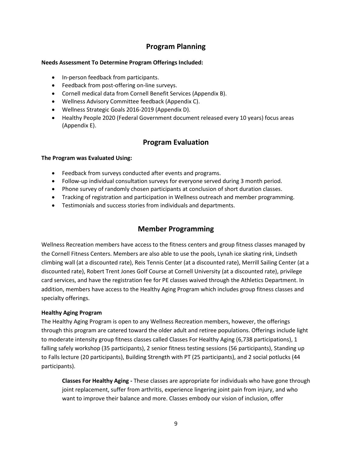## **Program Planning**

#### **Needs Assessment To Determine Program Offerings Included:**

- In-person feedback from participants.
- Feedback from post-offering on-line surveys.
- Cornell medical data from Cornell Benefit Services (Appendix B).
- Wellness Advisory Committee feedback (Appendix C).
- Wellness Strategic Goals 2016-2019 (Appendix D).
- Healthy People 2020 (Federal Government document released every 10 years) focus areas (Appendix E).

### **Program Evaluation**

#### **The Program was Evaluated Using:**

- Feedback from surveys conducted after events and programs.
- Follow-up individual consultation surveys for everyone served during 3 month period.
- Phone survey of randomly chosen participants at conclusion of short duration classes.
- Tracking of registration and participation in Wellness outreach and member programming.
- Testimonials and success stories from individuals and departments.

## **Member Programming**

Wellness Recreation members have access to the fitness centers and group fitness classes managed by the Cornell Fitness Centers. Members are also able to use the pools, Lynah ice skating rink, Lindseth climbing wall (at a discounted rate), Reis Tennis Center (at a discounted rate), Merrill Sailing Center (at a discounted rate), Robert Trent Jones Golf Course at Cornell University (at a discounted rate), privilege card services, and have the registration fee for PE classes waived through the Athletics Department. In addition, members have access to the Healthy Aging Program which includes group fitness classes and specialty offerings.

#### **Healthy Aging Program**

The Healthy Aging Program is open to any Wellness Recreation members, however, the offerings through this program are catered toward the older adult and retiree populations. Offerings include light to moderate intensity group fitness classes called Classes For Healthy Aging (6,738 participations), 1 falling safely workshop (35 participants), 2 senior fitness testing sessions (56 participants), Standing up to Falls lecture (20 participants), Building Strength with PT (25 participants), and 2 social potlucks (44 participants).

**Classes For Healthy Aging -** These classes are appropriate for individuals who have gone through joint replacement, suffer from arthritis, experience lingering joint pain from injury, and who want to improve their balance and more. Classes embody ou[r vision of inclusion,](http://wellness.cornell.edu/inclusion_statement.php) offer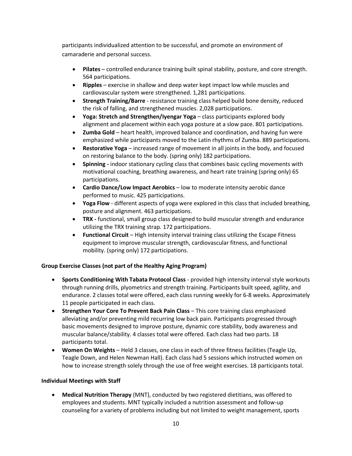participants individualized attention to be successful, and promote an environment of camaraderie and personal success.

- **Pilates**  controlled endurance training built spinal stability, posture, and core strength. 564 participations.
- **Ripples**  exercise in shallow and deep water kept impact low while muscles and cardiovascular system were strengthened. 1,281 participations.
- **Strength Training/Barre** resistance training class helped build bone density, reduced the risk of falling, and strengthened muscles. 2,028 participations.
- **Yoga: Stretch and Strengthen/Iyengar Yoga** class participants explored body alignment and placement within each yoga posture at a slow pace. 801 participations.
- **Zumba Gold**  heart health, improved balance and coordination, and having fun were emphasized while participants moved to the Latin rhythms of Zumba. 889 participations.
- **Restorative Yoga** increased range of movement in all joints in the body, and focused on restoring balance to the body. (spring only) 182 participations.
- **Spinning -** indoor stationary cycling class that combines basic cycling movements with motivational coaching, breathing awareness, and heart rate training (spring only) 65 participations.
- **Cardio Dance/Low Impact Aerobics**  low to moderate intensity aerobic dance performed to music. 425 participations.
- **Yoga Flow**  different aspects of yoga were explored in this class that included breathing, posture and alignment. 463 participations.
- **TRX -** functional, small group class designed to build muscular strength and endurance utilizing the TRX training strap. 172 participations.
- **Functional Circuit**  High intensity interval training class utilizing the Escape Fitness equipment to improve muscular strength, cardiovascular fitness, and functional mobility. (spring only) 172 participations.

#### **Group Exercise Classes (not part of the Healthy Aging Program)**

- **Sports Conditioning With Tabata Protocol Class** provided high intensity interval style workouts through running drills, plyometrics and strength training. Participants built speed, agility, and endurance. 2 classes total were offered, each class running weekly for 6-8 weeks. Approximately 11 people participated in each class.
- **Strengthen Your Core To Prevent Back Pain Class** This core training class emphasized alleviating and/or preventing mild recurring low back pain. Participants progressed through basic movements designed to improve posture, dynamic core stability, body awareness and muscular balance/stability. 4 classes total were offered. Each class had two parts. 18 participants total.
- **Women On Weights**  Held 3 classes, one class in each of three fitness facilities (Teagle Up, Teagle Down, and Helen Newman Hall). Each class had 5 sessions which instructed women on how to increase strength solely through the use of free weight exercises. 18 participants total.

#### **Individual Meetings with Staff**

 **Medical Nutrition Therapy** (MNT), conducted by two registered dietitians, was offered to employees and students. MNT typically included a nutrition assessment and follow-up counseling for a variety of problems including but not limited to weight management, sports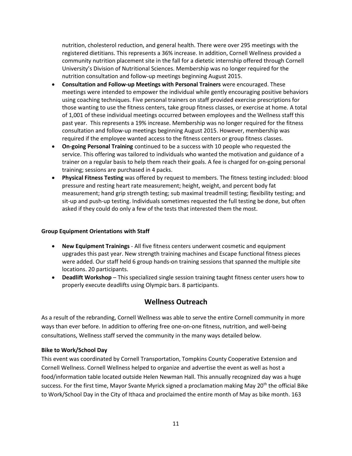nutrition, cholesterol reduction, and general health. There were over 295 meetings with the registered dietitians. This represents a 36% increase. In addition, Cornell Wellness provided a community nutrition placement site in the fall for a dietetic internship offered through Cornell University's Division of Nutritional Sciences. Membership was no longer required for the nutrition consultation and follow-up meetings beginning August 2015.

- **Consultation and Follow-up Meetings with Personal Trainers** were encouraged. These meetings were intended to empower the individual while gently encouraging positive behaviors using coaching techniques. Five personal trainers on staff provided exercise prescriptions for those wanting to use the fitness centers, take group fitness classes, or exercise at home. A total of 1,001 of these individual meetings occurred between employees and the Wellness staff this past year. This represents a 19% increase. Membership was no longer required for the fitness consultation and follow-up meetings beginning August 2015. However, membership was required if the employee wanted access to the fitness centers or group fitness classes.
- **On-going Personal Training** continued to be a success with 10 people who requested the service. This offering was tailored to individuals who wanted the motivation and guidance of a trainer on a regular basis to help them reach their goals. A fee is charged for on-going personal training; sessions are purchased in 4 packs.
- **Physical Fitness Testing** was offered by request to members. The fitness testing included: blood pressure and resting heart rate measurement; height, weight, and percent body fat measurement; hand grip strength testing; sub maximal treadmill testing; flexibility testing; and sit-up and push-up testing. Individuals sometimes requested the full testing be done, but often asked if they could do only a few of the tests that interested them the most.

#### **Group Equipment Orientations with Staff**

- **New Equipment Trainings** All five fitness centers underwent cosmetic and equipment upgrades this past year. New strength training machines and Escape functional fitness pieces were added. Our staff held 6 group hands-on training sessions that spanned the multiple site locations. 20 participants.
- **Deadlift Workshop** This specialized single session training taught fitness center users how to properly execute deadlifts using Olympic bars. 8 participants.

## **Wellness Outreach**

As a result of the rebranding, Cornell Wellness was able to serve the entire Cornell community in more ways than ever before. In addition to offering free one-on-one fitness, nutrition, and well-being consultations, Wellness staff served the community in the many ways detailed below.

#### **Bike to Work/School Day**

This event was coordinated by Cornell Transportation, Tompkins County Cooperative Extension and Cornell Wellness. Cornell Wellness helped to organize and advertise the event as well as host a food/information table located outside Helen Newman Hall. This annually recognized day was a huge success. For the first time, Mayor Svante Myrick signed a proclamation making May 20<sup>th</sup> the official Bike to Work/School Day in the City of Ithaca and proclaimed the entire month of May as bike month. 163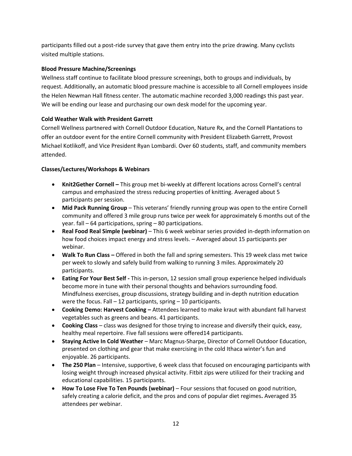participants filled out a post-ride survey that gave them entry into the prize drawing. Many cyclists visited multiple stations.

#### **Blood Pressure Machine/Screenings**

Wellness staff continue to facilitate blood pressure screenings, both to groups and individuals, by request. Additionally, an automatic blood pressure machine is accessible to all Cornell employees inside the Helen Newman Hall fitness center. The automatic machine recorded 3,000 readings this past year. We will be ending our lease and purchasing our own desk model for the upcoming year.

#### **Cold Weather Walk with President Garrett**

Cornell Wellness partnered with Cornell Outdoor Education, Nature Rx, and the Cornell Plantations to offer an outdoor event for the entire Cornell community with President Elizabeth Garrett, Provost Michael Kotlikoff, and Vice President Ryan Lombardi. Over 60 students, staff, and community members attended.

#### **Classes/Lectures/Workshops & Webinars**

- **Knit2Gether Cornell –** This group met bi-weekly at different locations across Cornell's central campus and emphasized the stress reducing properties of knitting. Averaged about 5 participants per session.
- **Mid Pack Running Group** This veterans' friendly running group was open to the entire Cornell community and offered 3 mile group runs twice per week for approximately 6 months out of the year. fall – 64 participations, spring – 80 participations.
- **Real Food Real Simple (webinar)**  This 6 week webinar series provided in-depth information on how food choices impact energy and stress levels. – Averaged about 15 participants per webinar.
- **Walk To Run Class –** Offered in both the fall and spring semesters. This 19 week class met twice per week to slowly and safely build from walking to running 3 miles. Approximately 20 participants.
- **Eating For Your Best Self -** This in-person, 12 session small group experience helped individuals become more in tune with their personal thoughts and behaviors surrounding food. Mindfulness exercises, group discussions, strategy building and in-depth nutrition education were the focus. Fall – 12 participants, spring – 10 participants.
- **Cooking Demo: Harvest Cooking –** Attendees learned to make kraut with abundant fall harvest vegetables such as greens and beans. 41 participants.
- **Cooking Class** class was designed for those trying to increase and diversify their quick, easy, healthy meal repertoire. Five fall sessions were offered14 participants.
- **Staying Active In Cold Weather**  Marc Magnus-Sharpe, Director of Cornell Outdoor Education, presented on clothing and gear that make exercising in the cold Ithaca winter's fun and enjoyable. 26 participants.
- **The 250 Plan** Intensive, supportive, 6 week class that focused on encouraging participants with losing weight through increased physical activity. Fitbit zips were utilized for their tracking and educational capabilities. 15 participants.
- **How To Lose Five To Ten Pounds (webinar)**  Four sessions that focused on good nutrition, safely creating a calorie deficit, and the pros and cons of popular diet regimes**.** Averaged 35 attendees per webinar.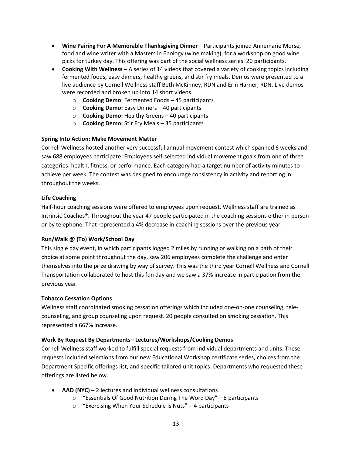- **Wine Pairing For A Memorable Thanksgiving Dinner** Participants joined Annemarie Morse, food and wine writer with a Masters in Enology (wine making), for a workshop on good wine picks for turkey day. This offering was part of the social wellness series. 20 participants.
- **Cooking With Wellness –** A series of 14 videos that covered a variety of cooking topics including fermented foods, easy dinners, healthy greens, and stir fry meals. Demos were presented to a live audience by Cornell Wellness staff Beth McKinney, RDN and Erin Harner, RDN. Live demos were recorded and broken up into 14 short videos.
	- o **Cooking Demo**: Fermented Foods 45 participants
	- o **Cooking Demo:** Easy Dinners 40 participants
	- o **Cooking Demo:** Healthy Greens 40 participants
	- o **Cooking Demo:** Stir Fry Meals 35 participants

#### **Spring Into Action: Make Movement Matter**

Cornell Wellness hosted another very successful annual movement contest which spanned 6 weeks and saw 688 employees participate. Employees self-selected individual movement goals from one of three categories: health, fitness, or performance. Each category had a target number of activity minutes to achieve per week. The contest was designed to encourage consistency in activity and reporting in throughout the weeks.

#### **Life Coaching**

Half-hour coaching sessions were offered to employees upon request. Wellness staff are trained as Intrinsic Coaches®. Throughout the year 47 people participated in the coaching sessions either in person or by telephone. That represented a 4% decrease in coaching sessions over the previous year.

#### **Run/Walk @ (To) Work/School Day**

This single day event, in which participants logged 2 miles by running or walking on a path of their choice at some point throughout the day, saw 206 employees complete the challenge and enter themselves into the prize drawing by way of survey. This was the third year Cornell Wellness and Cornell Transportation collaborated to host this fun day and we saw a 37% increase in participation from the previous year.

#### **Tobacco Cessation Options**

Wellness staff coordinated smoking cessation offerings which included one-on-one counseling, telecounseling, and group counseling upon request. 20 people consulted on smoking cessation. This represented a 667% increase.

#### **Work By Request By Departments– Lectures/Workshops/Cooking Demos**

Cornell Wellness staff worked to fulfill special requests from individual departments and units. These requests included selections from our new Educational Workshop certificate series, choices from the Department Specific offerings list, and specific tailored unit topics. Departments who requested these offerings are listed below.

- **AAD (NYC)** 2 lectures and individual wellness consultations
	- $\circ$  "Essentials Of Good Nutrition During The Word Day" 8 participants
	- o "Exercising When Your Schedule Is Nuts" 4 participants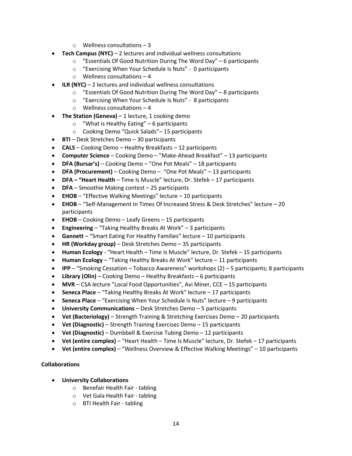- o Wellness consultations 3
- **Tech Campus (NYC)**  2 lectures and individual wellness consultations
	- $\circ$  "Essentials Of Good Nutrition During The Word Day" 6 participants
	- o "Exercising When Your Schedule Is Nuts" 0 participants
	- o Wellness consultations 4
- **ILR (NYC)** 2 lectures and individual wellness consultations
	- o "Essentials Of Good Nutrition During The Word Day" 8 participants
	- o "Exercising When Your Schedule Is Nuts" 8 participants
	- o Wellness consultations 4
- **The Station (Geneva)** 1 lecture, 1 cooking demo
	- o "What is Healthy Eating" 6 participants
	- o Cooking Demo "Quick Salads"– 15 participants
- **BTI** Desk Stretches Demo 30 participants
- **CALS**  Cooking Demo Healthy Breakfasts 12 participants
- **Computer Science**  Cooking Demo "Make-Ahead Breakfast" 13 participants
- **DFA (Bursar's)**  Cooking Demo "One Pot Meals" 18 participants
- **DFA (Procurement)** Cooking Demo "One Pot Meals" 13 participants
- **DFA – "Heart Health** Time Is Muscle" lecture, Dr. Stefek 17 participants
- **DFA**  Smoothie Making contest 25 participants
- **EHOB** "Effective Walking Meetings" lecture 10 participants
- **EHOB**  "Self-Management In Times Of Increased Stress & Desk Stretches" lecture 20 participants
- **EHOB**  Cooking Demo Leafy Greens 15 participants
- **Engineering**  "Taking Healthy Breaks At Work" 3 participants
- **Gannett**  "Smart Eating For Healthy Families" lecture 10 participants
- **HR (Workday group)**  Desk Stretches Demo 35 participants
- **Human Ecology** "Heart Health Time Is Muscle" lecture, Dr. Stefek 15 participants
- **Human Ecology**  "Taking Healthy Breaks At Work" lecture 11 participants
- **IPP**  "Smoking Cessation Tobacco Awareness" workshops (2) 5 participants; 8 participants
- **Library (Olin)**  Cooking Demo Healthy Breakfasts 6 participants
- **MVR**  CSA lecture "Local Food Opportunities", Avi Miner, CCE 15 participants
- **Seneca Place**  "Taking Healthy Breaks At Work" lecture 17 participants
- **Seneca Place**  "Exercising When Your Schedule Is Nuts" lecture 9 participants
- **University Communications**  Desk Stretches Demo 5 participants
- **Vet (Bacteriology)**  Strength Training & Stretching Exercises Demo 20 participants
- **Vet (Diagnostic)** Strength Training Exercises Demo 15 participants
- **Vet (Diagnostic)**  Dumbbell & Exercise Tubing Demo 12 participants
- **Vet (entire complex)** "Heart Health Time Is Muscle" lecture, Dr. Stefek 17 participants
- **Vet (entire complex)**  "Wellness Overview & Effective Walking Meetings" 10 participants

#### **Collaborations**

- **University Collaborations**
	- o Benefair Health Fair tabling
	- o Vet Gala Health Fair tabling
	- o BTI Health Fair tabling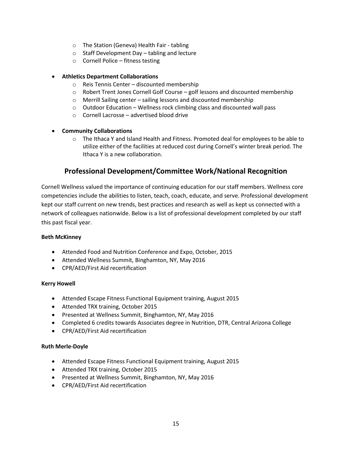- o The Station (Geneva) Health Fair tabling
- o Staff Development Day tabling and lecture
- o Cornell Police fitness testing

#### **Athletics Department Collaborations**

- o Reis Tennis Center discounted membership
- o Robert Trent Jones Cornell Golf Course golf lessons and discounted membership
- o Merrill Sailing center sailing lessons and discounted membership
- o Outdoor Education Wellness rock climbing class and discounted wall pass
- $\circ$  Cornell Lacrosse advertised blood drive
- **Community Collaborations**
	- $\circ$  The Ithaca Y and Island Health and Fitness. Promoted deal for employees to be able to utilize either of the facilities at reduced cost during Cornell's winter break period. The Ithaca Y is a new collaboration.

## **Professional Development/Committee Work/National Recognition**

Cornell Wellness valued the importance of continuing education for our staff members. Wellness core competencies include the abilities to listen, teach, coach, educate, and serve. Professional development kept our staff current on new trends, best practices and research as well as kept us connected with a network of colleagues nationwide. Below is a list of professional development completed by our staff this past fiscal year.

#### **Beth McKinney**

- Attended Food and Nutrition Conference and Expo, October, 2015
- Attended Wellness Summit, Binghamton, NY, May 2016
- CPR/AED/First Aid recertification

#### **Kerry Howell**

- Attended Escape Fitness Functional Equipment training, August 2015
- Attended TRX training, October 2015
- Presented at Wellness Summit, Binghamton, NY, May 2016
- Completed 6 credits towards Associates degree in Nutrition, DTR, Central Arizona College
- CPR/AED/First Aid recertification

#### **Ruth Merle-Doyle**

- Attended Escape Fitness Functional Equipment training, August 2015
- Attended TRX training, October 2015
- Presented at Wellness Summit, Binghamton, NY, May 2016
- CPR/AED/First Aid recertification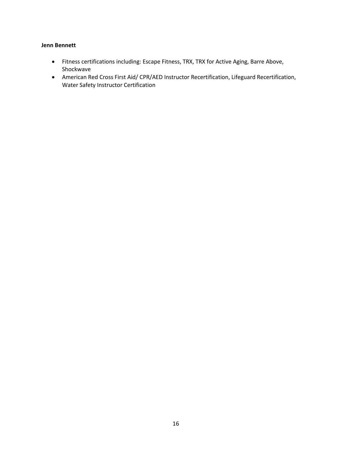#### **Jenn Bennett**

- Fitness certifications including: Escape Fitness, TRX, TRX for Active Aging, Barre Above, Shockwave
- American Red Cross First Aid/ CPR/AED Instructor Recertification, Lifeguard Recertification, Water Safety Instructor Certification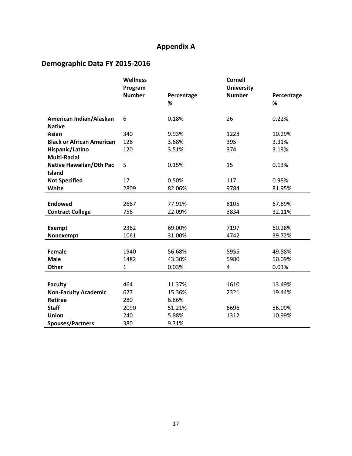## **Appendix A**

## **Demographic Data FY 2015-2016**

|                                  | <b>Wellness</b> |            | <b>Cornell</b>    |            |
|----------------------------------|-----------------|------------|-------------------|------------|
|                                  | Program         |            | <b>University</b> |            |
|                                  | <b>Number</b>   | Percentage | <b>Number</b>     | Percentage |
|                                  |                 | %          |                   | %          |
| American Indian/Alaskan          | 6               | 0.18%      | 26                | 0.22%      |
| <b>Native</b>                    |                 |            |                   |            |
| <b>Asian</b>                     | 340             | 9.93%      | 1228              | 10.29%     |
| <b>Black or African American</b> | 126             | 3.68%      | 395               | 3.31%      |
| Hispanic/Latino                  | 120             | 3.51%      | 374               | 3.13%      |
| <b>Multi-Racial</b>              |                 |            |                   |            |
| <b>Native Hawaiian/Oth Pac</b>   | 5               | 0.15%      | 15                | 0.13%      |
| <b>Island</b>                    |                 |            |                   |            |
| <b>Not Specified</b>             | 17              | 0.50%      | 117               | 0.98%      |
| White                            | 2809            | 82.06%     | 9784              | 81.95%     |
|                                  |                 |            |                   |            |
| <b>Endowed</b>                   | 2667            | 77.91%     | 8105              | 67.89%     |
| <b>Contract College</b>          | 756             | 22.09%     | 3834              | 32.11%     |
|                                  |                 |            |                   |            |
| <b>Exempt</b>                    | 2362            | 69.00%     | 7197              | 60.28%     |
| Nonexempt                        | 1061            | 31.00%     | 4742              | 39.72%     |
|                                  |                 |            |                   |            |
| <b>Female</b>                    | 1940            | 56.68%     | 5955              | 49.88%     |
| <b>Male</b>                      | 1482            | 43.30%     | 5980              | 50.09%     |
| Other                            | $\mathbf{1}$    | 0.03%      | 4                 | 0.03%      |
|                                  |                 |            |                   |            |
| <b>Faculty</b>                   | 464             | 11.37%     | 1610              | 13.49%     |
| <b>Non-Faculty Academic</b>      | 627             | 15.36%     | 2321              | 19.44%     |
| <b>Retiree</b>                   | 280             | 6.86%      |                   |            |
| <b>Staff</b>                     | 2090            | 51.21%     | 6696              | 56.09%     |
| <b>Union</b>                     | 240             | 5.88%      | 1312              | 10.99%     |
| <b>Spouses/Partners</b>          | 380             | 9.31%      |                   |            |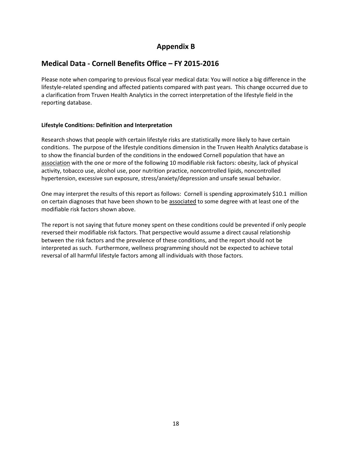## **Appendix B**

## **Medical Data - Cornell Benefits Office – FY 2015-2016**

Please note when comparing to previous fiscal year medical data: You will notice a big difference in the lifestyle-related spending and affected patients compared with past years. This change occurred due to a clarification from Truven Health Analytics in the correct interpretation of the lifestyle field in the reporting database.

#### **Lifestyle Conditions: Definition and Interpretation**

Research shows that people with certain lifestyle risks are statistically more likely to have certain conditions. The purpose of the lifestyle conditions dimension in the Truven Health Analytics database is to show the financial burden of the conditions in the endowed Cornell population that have an association with the one or more of the following 10 modifiable risk factors: obesity, lack of physical activity, tobacco use, alcohol use, poor nutrition practice, noncontrolled lipids, noncontrolled hypertension, excessive sun exposure, stress/anxiety/depression and unsafe sexual behavior.

One may interpret the results of this report as follows: Cornell is spending approximately \$10.1 million on certain diagnoses that have been shown to be associated to some degree with at least one of the modifiable risk factors shown above.

The report is not saying that future money spent on these conditions could be prevented if only people reversed their modifiable risk factors. That perspective would assume a direct causal relationship between the risk factors and the prevalence of these conditions, and the report should not be interpreted as such. Furthermore, wellness programming should not be expected to achieve total reversal of all harmful lifestyle factors among all individuals with those factors.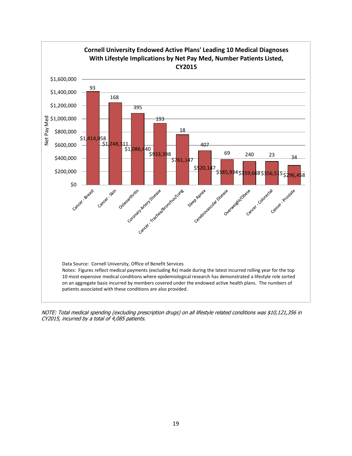

NOTE: Total medical spending (excluding prescription drugs) on all lifestyle related conditions was \$10,121,356 in CY2015, incurred by a total of 4,085 patients.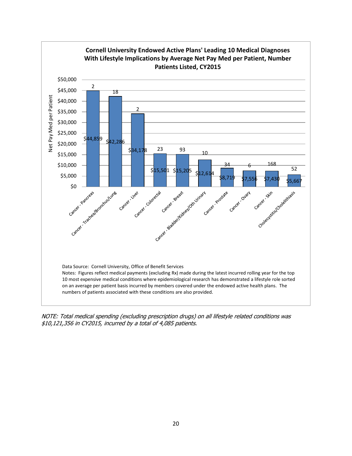

NOTE: Total medical spending (excluding prescription drugs) on all lifestyle related conditions was \$10,121,356 in CY2015, incurred by a total of 4,085 patients.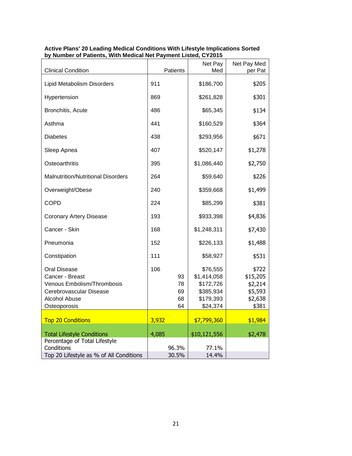| <b>Clinical Condition</b>                                                                                                               |       | Patients                   | Net Pay<br>Med                                                             | Net Pay Med<br>per Pat                                      |
|-----------------------------------------------------------------------------------------------------------------------------------------|-------|----------------------------|----------------------------------------------------------------------------|-------------------------------------------------------------|
| Lipid Metabolism Disorders                                                                                                              | 911   |                            | \$186,700                                                                  | \$205                                                       |
| Hypertension                                                                                                                            | 869   |                            | \$261,828                                                                  | \$301                                                       |
| Bronchitis, Acute                                                                                                                       | 486   |                            | \$65,345                                                                   | \$134                                                       |
| Asthma                                                                                                                                  | 441   |                            | \$160,529                                                                  | \$364                                                       |
| <b>Diabetes</b>                                                                                                                         | 438   |                            | \$293,956                                                                  | \$671                                                       |
| Sleep Apnea                                                                                                                             | 407   |                            | \$520,147                                                                  | \$1,278                                                     |
| Osteoarthritis                                                                                                                          | 395   |                            | \$1,086,440                                                                | \$2,750                                                     |
| <b>Malnutrition/Nutritional Disorders</b>                                                                                               | 264   |                            | \$59,640                                                                   | \$226                                                       |
| Overweight/Obese                                                                                                                        | 240   |                            | \$359,668                                                                  | \$1,499                                                     |
| <b>COPD</b>                                                                                                                             | 224   |                            | \$85,299                                                                   | \$381                                                       |
| <b>Coronary Artery Disease</b>                                                                                                          | 193   |                            | \$933,398                                                                  | \$4,836                                                     |
| Cancer - Skin                                                                                                                           | 168   |                            | \$1,248,311                                                                | \$7,430                                                     |
| Pneumonia                                                                                                                               | 152   |                            | \$226,133                                                                  | \$1,488                                                     |
| Constipation                                                                                                                            | 111   |                            | \$58,927                                                                   | \$531                                                       |
| <b>Oral Disease</b><br>Cancer - Breast<br>Venous Embolism/Thrombosis<br>Cerebrovascular Disease<br><b>Alcohol Abuse</b><br>Osteoporosis | 106   | 93<br>78<br>69<br>68<br>64 | \$76,555<br>\$1,414,058<br>\$172,726<br>\$385,934<br>\$179,393<br>\$24,374 | \$722<br>\$15,205<br>\$2,214<br>\$5,593<br>\$2,638<br>\$381 |
| <b>Top 20 Conditions</b>                                                                                                                | 3,932 |                            | \$7,799,360                                                                | \$1,984                                                     |
| <b>Total Lifestyle Conditions</b><br>Percentage of Total Lifestyle<br>Conditions                                                        | 4,085 | 96.3%                      | \$10,121,556<br>77.1%                                                      | \$2,478                                                     |
| Top 20 Lifestyle as % of All Conditions                                                                                                 |       | 30.5%                      | 14.4%                                                                      |                                                             |

#### **Active Plans' 20 Leading Medical Conditions With Lifestyle Implications Sorted by Number of Patients, With Medical Net Payment Listed, CY2015**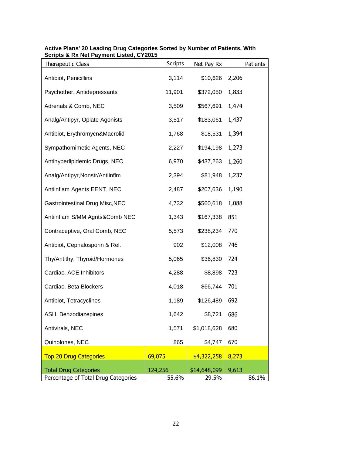| <b>Therapeutic Class</b>               | <b>Scripts</b> | Net Pay Rx   | Patients |
|----------------------------------------|----------------|--------------|----------|
| Antibiot, Penicillins                  | 3,114          | \$10,626     | 2,206    |
| Psychother, Antidepressants            | 11,901         | \$372,050    | 1,833    |
| Adrenals & Comb, NEC                   | 3,509          | \$567,691    | 1,474    |
| Analg/Antipyr, Opiate Agonists         | 3,517          | \$183,061    | 1,437    |
| Antibiot, Erythromycn&Macrolid         | 1,768          | \$18,531     | 1,394    |
| Sympathomimetic Agents, NEC            | 2,227          | \$194,198    | 1,273    |
| Antihyperlipidemic Drugs, NEC          | 6,970          | \$437,263    | 1,260    |
| Analg/Antipyr, Nonstr/Antiinflm        | 2,394          | \$81,948     | 1,237    |
| Antiinflam Agents EENT, NEC            | 2,487          | \$207,636    | 1,190    |
| <b>Gastrointestinal Drug Misc, NEC</b> | 4,732          | \$560,618    | 1,088    |
| Antiinflam S/MM Agnts&Comb NEC         | 1,343          | \$167,338    | 851      |
| Contraceptive, Oral Comb, NEC          | 5,573          | \$238,234    | 770      |
| Antibiot, Cephalosporin & Rel.         | 902            | \$12,008     | 746      |
| Thy/Antithy, Thyroid/Hormones          | 5,065          | \$36,830     | 724      |
| Cardiac, ACE Inhibitors                | 4,288          | \$8,898      | 723      |
| Cardiac, Beta Blockers                 | 4,018          | \$66,744     | 701      |
| Antibiot, Tetracyclines                | 1,189          | \$126,489    | 692      |
| ASH, Benzodiazepines                   | 1,642          | \$8,721      | 686      |
| Antivirals, NEC                        | 1,571          | \$1,018,628  | 680      |
| Quinolones, NEC                        | 865            | \$4,747      | 670      |
| <b>Top 20 Drug Categories</b>          | 69,075         | \$4,322,258  | 8,273    |
| <b>Total Drug Categories</b>           | 124,256        | \$14,648,099 | 9,613    |
| Percentage of Total Drug Categories    | 55.6%          | 29.5%        | 86.1%    |

#### **Active Plans' 20 Leading Drug Categories Sorted by Number of Patients, With Scripts & Rx Net Payment Listed, CY2015**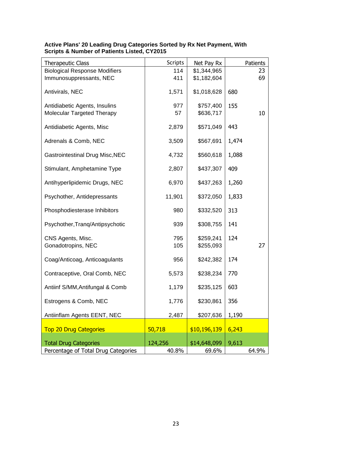| <b>Therapeutic Class</b>                                    | <b>Scripts</b> | Net Pay Rx             |       | Patients |
|-------------------------------------------------------------|----------------|------------------------|-------|----------|
| <b>Biological Response Modifiers</b>                        | 114            | \$1,344,965            |       | 23       |
| Immunosuppressants, NEC                                     | 411            | \$1,182,604            |       | 69       |
| Antivirals, NEC                                             | 1,571          | \$1,018,628            | 680   |          |
| Antidiabetic Agents, Insulins<br>Molecular Targeted Therapy | 977<br>57      | \$757,400<br>\$636,717 | 155   | 10       |
| Antidiabetic Agents, Misc                                   | 2,879          | \$571,049              | 443   |          |
| Adrenals & Comb, NEC                                        | 3,509          | \$567,691              | 1,474 |          |
| <b>Gastrointestinal Drug Misc, NEC</b>                      | 4,732          | \$560,618              | 1,088 |          |
| Stimulant, Amphetamine Type                                 | 2,807          | \$437,307              | 409   |          |
| Antihyperlipidemic Drugs, NEC                               | 6,970          | \$437,263              | 1,260 |          |
| Psychother, Antidepressants                                 | 11,901         | \$372,050              | 1,833 |          |
| Phosphodiesterase Inhibitors                                | 980            | \$332,520              | 313   |          |
| Psychother, Tranq/Antipsychotic                             | 939            | \$308,755              | 141   |          |
| CNS Agents, Misc.<br>Gonadotropins, NEC                     | 795<br>105     | \$259,241<br>\$255,093 | 124   | 27       |
| Coag/Anticoag, Anticoagulants                               | 956            | \$242,382              | 174   |          |
| Contraceptive, Oral Comb, NEC                               | 5,573          | \$238,234              | 770   |          |
| Antiinf S/MM, Antifungal & Comb                             | 1,179          | \$235,125              | 603   |          |
| Estrogens & Comb, NEC                                       | 1,776          | \$230,861              | 356   |          |
| Antiinflam Agents EENT, NEC                                 | 2,487          | \$207,636              | 1,190 |          |
| <b>Top 20 Drug Categories</b>                               | 50,718         | \$10,196,139           | 6,243 |          |
| <b>Total Drug Categories</b>                                | 124,256        | \$14,648,099           | 9,613 |          |
| Percentage of Total Drug Categories                         | 40.8%          | 69.6%                  |       | 64.9%    |

#### **Active Plans' 20 Leading Drug Categories Sorted by Rx Net Payment, With Scripts & Number of Patients Listed, CY2015**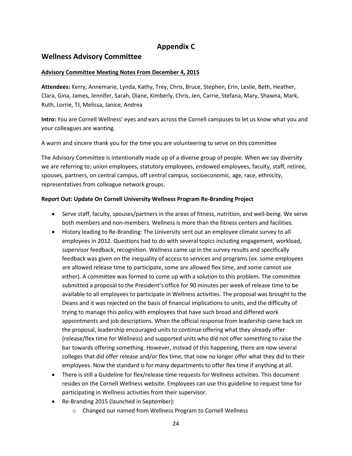## **Appendix C**

## **Wellness Advisory Committee**

#### **Advisory Committee Meeting Notes From December 4, 2015**

**Attendees:** Kerry, Annemarie, Lynda, Kathy, Trey, Chris, Bruce, Stephen, Erin, Leslie, Beth, Heather, Clara, Gina, James, Jennifer, Sarah, Diane, Kimberly, Chris, Jen, Carrie, Stefana, Mary, Shawna, Mark, Ruth, Lorrie, TJ, Melissa, Janice, Andrea

**Intro:** You are Cornell Wellness' eyes and ears across the Cornell campuses to let us know what you and your colleagues are wanting.

A warm and sincere thank you for the time you are volunteering to serve on this committee

The Advisory Committee is intentionally made up of a diverse group of people. When we say diversity we are referring to: union employees, statutory employees, endowed employees, faculty, staff, retiree, spouses, partners, on central campus, off central campus, socioeconomic, age, race, ethnicity, representatives from colleague network groups.

#### **Report Out: Update On Cornell University Wellness Program Re-Branding Project**

- Serve staff, faculty, spouses/partners in the areas of fitness, nutrition, and well-being. We serve both members and non-members. Wellness is more than the fitness centers and facilities.
- History leading to Re-Branding: The University sent out an employee climate survey to all employees in 2012. Questions had to do with several topics including engagement, workload, supervisor feedback, recognition. Wellness came up in the survey results and specifically feedback was given on the inequality of access to services and programs (ex. some employees are allowed release time to participate, some are allowed flex time, and some cannot use either). A committee was formed to come up with a solution to this problem. The committee submitted a proposal to the President's office for 90 minutes per week of release time to be available to all employees to participate in Wellness activities. The proposal was brought to the Deans and it was rejected on the basis of financial implications to units, and the difficulty of trying to manage this policy with employees that have such broad and differed work appointments and job descriptions. When the official response from leadership came back on the proposal, leadership encouraged units to continue offering what they already offer (release/flex time for Wellness) and supported units who did not offer something to raise the bar towards offering something. However, instead of this happening, there are now several colleges that did offer release and/or flex time, that now no longer offer what they did to their employees. Now the standard is for many departments to offer flex time if anything at all.
- There is still a Guideline for flex/release time requests for Wellness activities. This document resides on the Cornell Wellness website. Employees can use this guideline to request time for participating in Wellness activities from their supervisor.
- Re-Branding 2015 (launched in September):
	- o Changed our named from Wellness Program to Cornell Wellness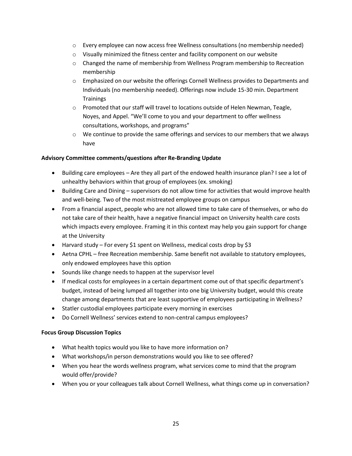- $\circ$  Every employee can now access free Wellness consultations (no membership needed)
- o Visually minimized the fitness center and facility component on our website
- o Changed the name of membership from Wellness Program membership to Recreation membership
- o Emphasized on our website the offerings Cornell Wellness provides to Departments and Individuals (no membership needed). Offerings now include 15-30 min. Department **Trainings**
- o Promoted that our staff will travel to locations outside of Helen Newman, Teagle, Noyes, and Appel. "We'll come to you and your department to offer wellness consultations, workshops, and programs"
- $\circ$  We continue to provide the same offerings and services to our members that we always have

#### **Advisory Committee comments/questions after Re-Branding Update**

- Building care employees Are they all part of the endowed health insurance plan? I see a lot of unhealthy behaviors within that group of employees (ex. smoking)
- Building Care and Dining supervisors do not allow time for activities that would improve health and well-being. Two of the most mistreated employee groups on campus
- From a financial aspect, people who are not allowed time to take care of themselves, or who do not take care of their health, have a negative financial impact on University health care costs which impacts every employee. Framing it in this context may help you gain support for change at the University
- Harvard study For every \$1 spent on Wellness, medical costs drop by \$3
- Aetna CPHL free Recreation membership. Same benefit not available to statutory employees, only endowed employees have this option
- Sounds like change needs to happen at the supervisor level
- If medical costs for employees in a certain department come out of that specific department's budget, instead of being lumped all together into one big University budget, would this create change among departments that are least supportive of employees participating in Wellness?
- Statler custodial employees participate every morning in exercises
- Do Cornell Wellness' services extend to non-central campus employees?

#### **Focus Group Discussion Topics**

- What health topics would you like to have more information on?
- What workshops/in person demonstrations would you like to see offered?
- When you hear the words wellness program, what services come to mind that the program would offer/provide?
- When you or your colleagues talk about Cornell Wellness, what things come up in conversation?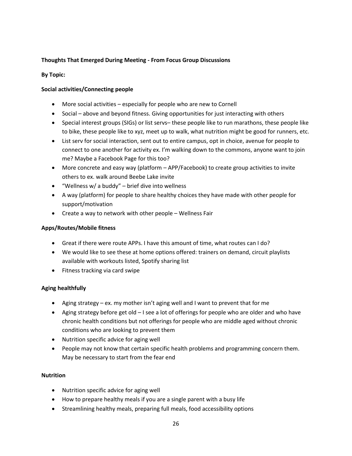#### **Thoughts That Emerged During Meeting - From Focus Group Discussions**

#### **By Topic:**

#### **Social activities/Connecting people**

- More social activities especially for people who are new to Cornell
- Social above and beyond fitness. Giving opportunities for just interacting with others
- Special interest groups (SIGs) or list servs– these people like to run marathons, these people like to bike, these people like to xyz, meet up to walk, what nutrition might be good for runners, etc.
- List serv for social interaction, sent out to entire campus, opt in choice, avenue for people to connect to one another for activity ex. I'm walking down to the commons, anyone want to join me? Maybe a Facebook Page for this too?
- More concrete and easy way (platform APP/Facebook) to create group activities to invite others to ex. walk around Beebe Lake invite
- $\bullet$  "Wellness w/ a buddy" brief dive into wellness
- A way (platform) for people to share healthy choices they have made with other people for support/motivation
- Create a way to network with other people Wellness Fair

#### **Apps/Routes/Mobile fitness**

- Great if there were route APPs. I have this amount of time, what routes can I do?
- We would like to see these at home options offered: trainers on demand, circuit playlists available with workouts listed, Spotify sharing list
- Fitness tracking via card swipe

#### **Aging healthfully**

- Aging strategy ex. my mother isn't aging well and I want to prevent that for me
- Aging strategy before get old I see a lot of offerings for people who are older and who have chronic health conditions but not offerings for people who are middle aged without chronic conditions who are looking to prevent them
- Nutrition specific advice for aging well
- People may not know that certain specific health problems and programming concern them. May be necessary to start from the fear end

#### **Nutrition**

- Nutrition specific advice for aging well
- How to prepare healthy meals if you are a single parent with a busy life
- Streamlining healthy meals, preparing full meals, food accessibility options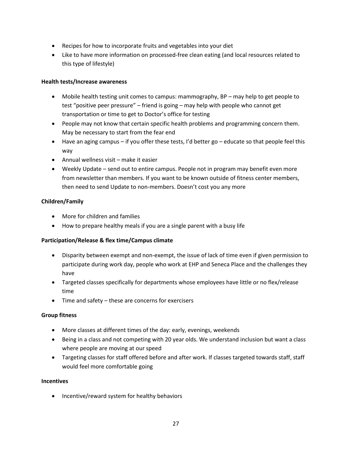- Recipes for how to incorporate fruits and vegetables into your diet
- Like to have more information on processed-free clean eating (and local resources related to this type of lifestyle)

#### **Health tests/Increase awareness**

- Mobile health testing unit comes to campus: mammography, BP may help to get people to test "positive peer pressure" – friend is going – may help with people who cannot get transportation or time to get to Doctor's office for testing
- People may not know that certain specific health problems and programming concern them. May be necessary to start from the fear end
- Have an aging campus if you offer these tests, I'd better go educate so that people feel this way
- Annual wellness visit make it easier
- Weekly Update send out to entire campus. People not in program may benefit even more from newsletter than members. If you want to be known outside of fitness center members, then need to send Update to non-members. Doesn't cost you any more

#### **Children/Family**

- More for children and families
- How to prepare healthy meals if you are a single parent with a busy life

#### **Participation/Release & flex time/Campus climate**

- Disparity between exempt and non-exempt, the issue of lack of time even if given permission to participate during work day, people who work at EHP and Seneca Place and the challenges they have
- Targeted classes specifically for departments whose employees have little or no flex/release time
- Time and safety these are concerns for exercisers

#### **Group fitness**

- More classes at different times of the day: early, evenings, weekends
- Being in a class and not competing with 20 year olds. We understand inclusion but want a class where people are moving at our speed
- Targeting classes for staff offered before and after work. If classes targeted towards staff, staff would feel more comfortable going

#### **Incentives**

• Incentive/reward system for healthy behaviors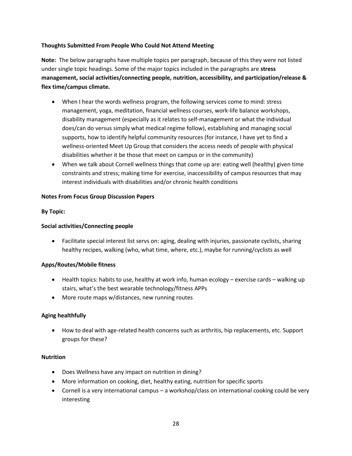#### **Thoughts Submitted From People Who Could Not Attend Meeting**

**Note:** The below paragraphs have multiple topics per paragraph, because of this they were not listed under single topic headings. Some of the major topics included in the paragraphs are **stress management, social activities/connecting people, nutrition, accessibility, and participation/release & flex time/campus climate.**

- When I hear the words wellness program, the following services come to mind: stress management, yoga, meditation, financial wellness courses, work-life balance workshops, disability management (especially as it relates to self-management or what the individual does/can do versus simply what medical regime follow), establishing and managing social supports, how to identify helpful community resources (for instance, I have yet to find a wellness-oriented Meet Up Group that considers the access needs of people with physical disabilities whether it be those that meet on campus or in the community)
- When we talk about Cornell wellness things that come up are: eating well (healthy) given time constraints and stress; making time for exercise, inaccessibility of campus resources that may interest individuals with disabilities and/or chronic health conditions

#### **Notes From Focus Group Discussion Papers**

#### **By Topic:**

#### **Social activities/Connecting people**

• Facilitate special interest list servs on: aging, dealing with injuries, passionate cyclists, sharing healthy recipes, walking (who, what time, where, etc.), maybe for running/cyclists as well

#### **Apps/Routes/Mobile fitness**

- $\bullet$  Health topics: habits to use, healthy at work info, human ecology exercise cards walking up stairs, what's the best wearable technology/fitness APPs
- More route maps w/distances, new running routes

#### **Aging healthfully**

 How to deal with age-related health concerns such as arthritis, hip replacements, etc. Support groups for these?

#### **Nutrition**

- Does Wellness have any impact on nutrition in dining?
- More information on cooking, diet, healthy eating, nutrition for specific sports
- Cornell is a very international campus a workshop/class on international cooking could be very interesting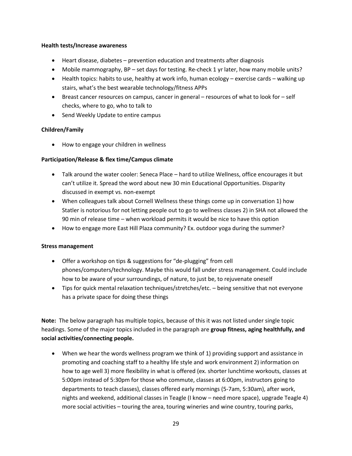#### **Health tests/Increase awareness**

- Heart disease, diabetes prevention education and treatments after diagnosis
- Mobile mammography, BP set days for testing. Re-check 1 yr later, how many mobile units?
- Health topics: habits to use, healthy at work info, human ecology exercise cards walking up stairs, what's the best wearable technology/fitness APPs
- Breast cancer resources on campus, cancer in general resources of what to look for self checks, where to go, who to talk to
- Send Weekly Update to entire campus

#### **Children/Family**

How to engage your children in wellness

#### **Participation/Release & flex time/Campus climate**

- Talk around the water cooler: Seneca Place hard to utilize Wellness, office encourages it but can't utilize it. Spread the word about new 30 min Educational Opportunities. Disparity discussed in exempt vs. non-exempt
- When colleagues talk about Cornell Wellness these things come up in conversation 1) how Statler is notorious for not letting people out to go to wellness classes 2) in SHA not allowed the 90 min of release time – when workload permits it would be nice to have this option
- How to engage more East Hill Plaza community? Ex. outdoor yoga during the summer?

#### **Stress management**

- Offer a workshop on tips & suggestions for "de-plugging" from cell phones/computers/technology. Maybe this would fall under stress management. Could include how to be aware of your surroundings, of nature, to just be, to rejuvenate oneself
- Tips for quick mental relaxation techniques/stretches/etc. being sensitive that not everyone has a private space for doing these things

**Note:** The below paragraph has multiple topics, because of this it was not listed under single topic headings. Some of the major topics included in the paragraph are **group fitness, aging healthfully, and social activities/connecting people.**

 When we hear the words wellness program we think of 1) providing support and assistance in promoting and coaching staff to a healthy life style and work environment 2) information on how to age well 3) more flexibility in what is offered (ex. shorter lunchtime workouts, classes at 5:00pm instead of 5:30pm for those who commute, classes at 6:00pm, instructors going to departments to teach classes), classes offered early mornings (5-7am, 5:30am), after work, nights and weekend, additional classes in Teagle (I know – need more space), upgrade Teagle 4) more social activities – touring the area, touring wineries and wine country, touring parks,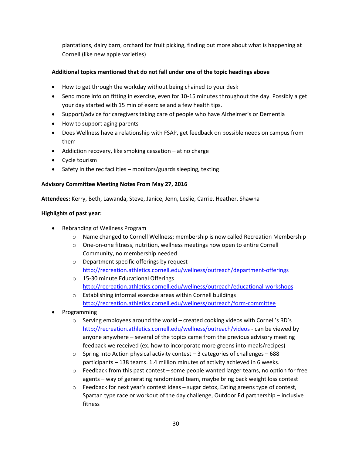plantations, dairy barn, orchard for fruit picking, finding out more about what is happening at Cornell (like new apple varieties)

#### **Additional topics mentioned that do not fall under one of the topic headings above**

- How to get through the workday without being chained to your desk
- Send more info on fitting in exercise, even for 10-15 minutes throughout the day. Possibly a get your day started with 15 min of exercise and a few health tips.
- Support/advice for caregivers taking care of people who have Alzheimer's or Dementia
- How to support aging parents
- Does Wellness have a relationship with FSAP, get feedback on possible needs on campus from them
- Addiction recovery, like smoking cessation at no charge
- Cycle tourism
- $\bullet$  Safety in the rec facilities monitors/guards sleeping, texting

#### **Advisory Committee Meeting Notes From May 27, 2016**

**Attendees:** Kerry, Beth, Lawanda, Steve, Janice, Jenn, Leslie, Carrie, Heather, Shawna

#### **Highlights of past year:**

- Rebranding of Wellness Program
	- o Name changed to Cornell Wellness; membership is now called Recreation Membership
	- o One-on-one fitness, nutrition, wellness meetings now open to entire Cornell Community, no membership needed
	- o Department specific offerings by request <http://recreation.athletics.cornell.edu/wellness/outreach/department-offerings>
	- o 15-30 minute Educational Offerings <http://recreation.athletics.cornell.edu/wellness/outreach/educational-workshops>
	- o Establishing informal exercise areas within Cornell buildings <http://recreation.athletics.cornell.edu/wellness/outreach/form-committee>
- Programming
	- $\circ$  Serving employees around the world created cooking videos with Cornell's RD's <http://recreation.athletics.cornell.edu/wellness/outreach/videos> - can be viewed by anyone anywhere – several of the topics came from the previous advisory meeting feedback we received (ex. how to incorporate more greens into meals/recipes)
	- $\circ$  Spring Into Action physical activity contest 3 categories of challenges 688 participants – 138 teams. 1.4 million minutes of activity achieved in 6 weeks.
	- $\circ$  Feedback from this past contest some people wanted larger teams, no option for free agents – way of generating randomized team, maybe bring back weight loss contest
	- $\circ$  Feedback for next year's contest ideas sugar detox, Eating greens type of contest, Spartan type race or workout of the day challenge, Outdoor Ed partnership – inclusive fitness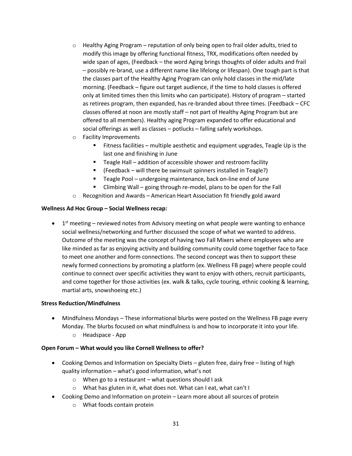- $\circ$  Healthy Aging Program reputation of only being open to frail older adults, tried to modify this image by offering functional fitness, TRX, modifications often needed by wide span of ages, (Feedback – the word Aging brings thoughts of older adults and frail – possibly re-brand, use a different name like lifelong or lifespan). One tough part is that the classes part of the Healthy Aging Program can only hold classes in the mid/late morning. (Feedback – figure out target audience, if the time to hold classes is offered only at limited times then this limits who can participate). History of program – started as retirees program, then expanded, has re-branded about three times. (Feedback – CFC classes offered at noon are mostly staff – not part of Healthy Aging Program but are offered to all members). Healthy aging Program expanded to offer educational and social offerings as well as classes – potlucks – falling safely workshops.
- o Facility Improvements
	- **Fitness facilities multiple aesthetic and equipment upgrades, Teagle Up is the** last one and finishing in June
	- Teagle Hall addition of accessible shower and restroom facility
	- F (Feedback will there be swimsuit spinners installed in Teagle?)
	- Teagle Pool undergoing maintenance, back on-line end of June
	- **E** Climbing Wall going through re-model, plans to be open for the Fall
- $\circ$  Recognition and Awards American Heart Association fit friendly gold award

#### **Wellness Ad Hoc Group – Social Wellness recap:**

 $\bullet$  1<sup>st</sup> meeting – reviewed notes from Advisory meeting on what people were wanting to enhance social wellness/networking and further discussed the scope of what we wanted to address. Outcome of the meeting was the concept of having two Fall Mixers where employees who are like minded as far as enjoying activity and building community could come together face to face to meet one another and form connections. The second concept was then to support these newly formed connections by promoting a platform (ex. Wellness FB page) where people could continue to connect over specific activities they want to enjoy with others, recruit participants, and come together for those activities (ex. walk & talks, cycle touring, ethnic cooking & learning, martial arts, snowshoeing etc.)

#### **Stress Reduction/Mindfulness**

- Mindfulness Mondays These informational blurbs were posted on the Wellness FB page every Monday. The blurbs focused on what mindfulness is and how to incorporate it into your life.
	- o Headspace App

#### **Open Forum – What would you like Cornell Wellness to offer?**

- Cooking Demos and Information on Specialty Diets gluten free, dairy free listing of high quality information – what's good information, what's not
	- $\circ$  When go to a restaurant what questions should I ask
	- o What has gluten in it, what does not. What can I eat, what can't I
- Cooking Demo and Information on protein Learn more about all sources of protein
	- o What foods contain protein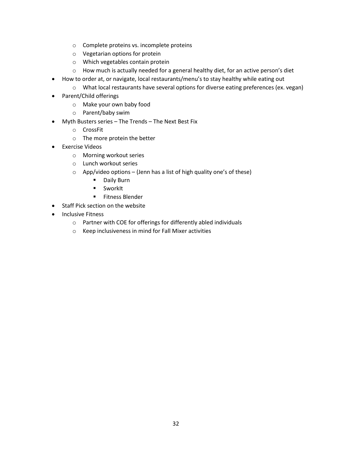- o Complete proteins vs. incomplete proteins
- o Vegetarian options for protein
- o Which vegetables contain protein
- o How much is actually needed for a general healthy diet, for an active person's diet
- How to order at, or navigate, local restaurants/menu's to stay healthy while eating out
	- o What local restaurants have several options for diverse eating preferences (ex. vegan)
- Parent/Child offerings
	- o Make your own baby food
	- o Parent/baby swim
- Myth Busters series The Trends The Next Best Fix
	- o CrossFit
	- o The more protein the better
- Exercise Videos
	- o Morning workout series
	- o Lunch workout series
	- $\circ$  App/video options (Jenn has a list of high quality one's of these)
		- **-** Daily Burn
		- **SworkIt**
		- **Fitness Blender**
- Staff Pick section on the website
- Inclusive Fitness
	- o Partner with COE for offerings for differently abled individuals
	- o Keep inclusiveness in mind for Fall Mixer activities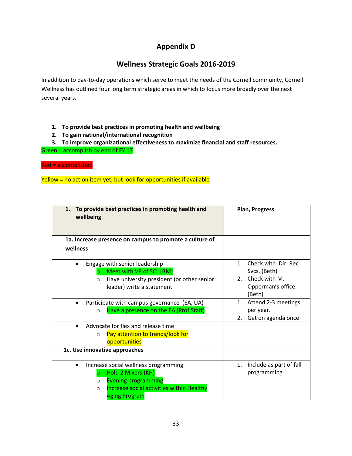## **Appendix D**

## **Wellness Strategic Goals 2016-2019**

In addition to day-to-day operations which serve to meet the needs of the Cornell community, Cornell Wellness has outlined four long term strategic areas in which to focus more broadly over the next several years.

- **1. To provide best practices in promoting health and wellbeing**
- **2. To gain national/international recognition**

**3. To improve organizational effectiveness to maximize financial and staff resources.** Green = accomplish by end of FY 17

Red = accomplished

Yellow = no action item yet, but look for opportunities if available

| To provide best practices in promoting health and<br>1.<br>wellbeing | <b>Plan, Progress</b>           |  |
|----------------------------------------------------------------------|---------------------------------|--|
| 1a. Increase presence on campus to promote a culture of              |                                 |  |
| wellness                                                             |                                 |  |
| Engage with senior leadership                                        | Check with Dir. Rec.<br>$1_{-}$ |  |
| Meet with VP of SCL (BM)<br>$\circ$                                  | Svcs. (Beth)                    |  |
| Have university president (or other senior<br>$\circ$                | 2. Check with M.                |  |
| leader) write a statement                                            | Opperman's office.              |  |
|                                                                      | (Beth)                          |  |
| Participate with campus governance (EA, UA)                          | Attend 2-3 meetings<br>1.       |  |
| Have a presence on the EA (Prof Staff)<br>$\Omega$                   | per year.                       |  |
|                                                                      | Get on agenda once<br>2.        |  |
| Advocate for flex and release time                                   |                                 |  |
| Pay attention to trends/look for<br>$\circ$                          |                                 |  |
| opportunities                                                        |                                 |  |
| 1c. Use innovative approaches                                        |                                 |  |
| Increase social wellness programming                                 | Include as part of fall<br>1.   |  |
| Hold 2 Mixers (KH)<br>$\circ$                                        | programming                     |  |
| <b>Evening programming</b><br>$\circ$                                |                                 |  |
| Increase social activities within Healthy<br>$\circ$                 |                                 |  |
| <b>Aging Program</b>                                                 |                                 |  |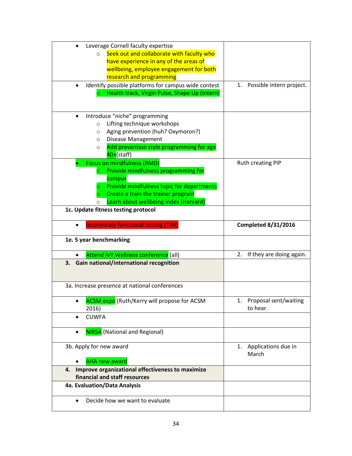| Leverage Cornell faculty expertise                               |                             |
|------------------------------------------------------------------|-----------------------------|
| Seek out and collaborate with faculty who<br>$\circ$             |                             |
| have experience in any of the areas of                           |                             |
| wellbeing, employee engagement for both                          |                             |
| research and programming                                         |                             |
| Identify possible platforms for campus wide contest<br>$\bullet$ | 1. Possible intern project. |
| Health track, Virgin Pulse, Shape Up (Intern)                    |                             |
|                                                                  |                             |
|                                                                  |                             |
| Introduce "niche" programming                                    |                             |
| Lifting technique workshops<br>$\circ$                           |                             |
| Aging prevention (huh? Oxymoron?)<br>$\circ$                     |                             |
| Disease Management<br>$\circ$                                    |                             |
| Add prevention style programming for age<br>$\circ$              |                             |
| 40+(staff)                                                       |                             |
| Focus on mindfulness (RMD)                                       | Ruth creating PIP           |
| Provide mindfulness programming for                              |                             |
| campus                                                           |                             |
| Provide mindfulness topic for departments                        |                             |
| Create a train the trainer program                               |                             |
| Learn about wellbeing index (Harvard)                            |                             |
| 1c. Update fitness testing protocol                              |                             |
|                                                                  |                             |
| Incorporate functional testing (TJM)                             | <b>Completed 8/31/2016</b>  |
|                                                                  |                             |
|                                                                  |                             |
| 1e. 5 year benchmarking                                          |                             |
|                                                                  | 2.                          |
| Attend IVY Wellness conference (all)                             | If they are doing again.    |
| 3. Gain national/international recognition                       |                             |
|                                                                  |                             |
| 3a. Increase presence at national conferences                    |                             |
|                                                                  |                             |
| <b>ACSM expo</b> (Ruth/Kerry will propose for ACSM               | 1. Proposal sent/waiting    |
| 2016)                                                            | to hear.                    |
| <b>CUWFA</b><br>$\bullet$                                        |                             |
|                                                                  |                             |
| <b>NIRSA</b> (National and Regional)                             |                             |
|                                                                  |                             |
| 3b. Apply for new award                                          | Applications due in<br>1.   |
|                                                                  | March                       |
| <b>AHA new award</b>                                             |                             |
| Improve organizational effectiveness to maximize<br>4.           |                             |
| financial and staff resources                                    |                             |
| 4a. Evaluation/Data Analysis                                     |                             |
| Decide how we want to evaluate<br>$\bullet$                      |                             |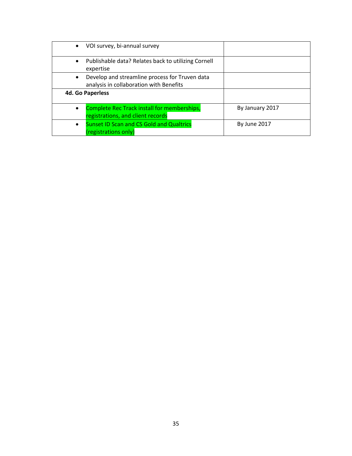| • VOI survey, bi-annual survey                                                                         |                     |
|--------------------------------------------------------------------------------------------------------|---------------------|
| Publishable data? Relates back to utilizing Cornell<br>$\bullet$<br>expertise                          |                     |
| Develop and streamline process for Truven data<br>$\bullet$<br>analysis in collaboration with Benefits |                     |
| <b>4d. Go Paperless</b>                                                                                |                     |
| <b>Complete Rec Track install for memberships,</b><br>$\bullet$<br>registrations, and client records   | By January 2017     |
| <b>Sunset ID Scan and CS Gold and Qualtrics</b><br>$\bullet$<br>(registrations only)                   | <b>By June 2017</b> |